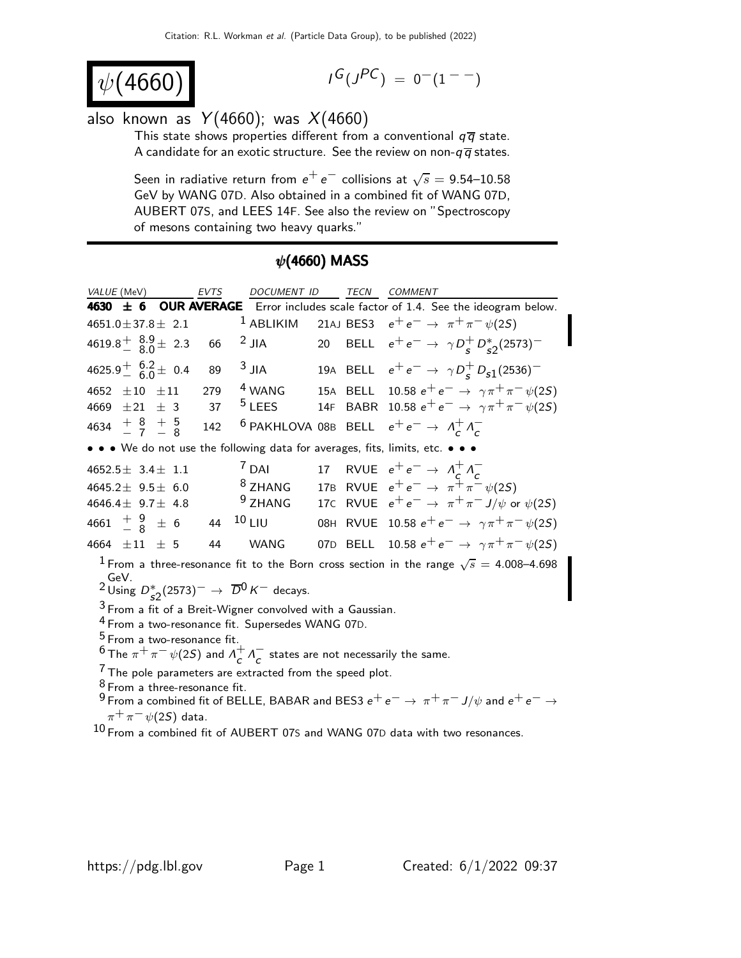$$
\psi(4660)
$$

$$
I^G(J^{PC})\ =\ 0^-(1^{--})
$$

## also known as  $Y(4660)$ ; was  $X(4660)$

This state shows properties different from a conventional  $q\bar{q}$  state. A candidate for an exotic structure. See the review on non- $q\overline{q}$  states.

Seen in radiative return from  $e^+ \, e^-$  collisions at  $\sqrt{s} =$  9.54–10.58 GeV by WANG 07D. Also obtained in a combined fit of WANG 07D, AUBERT 07S, and LEES 14F. See also the review on "Spectroscopy of mesons containing two heavy quarks."

## $\psi$ (4660) MASS

| VALUE (MeV)                                                                                                                                                                                                         | EVTS | DOCUMENT ID        |  |  | TECN COMMENT                                                                |  |
|---------------------------------------------------------------------------------------------------------------------------------------------------------------------------------------------------------------------|------|--------------------|--|--|-----------------------------------------------------------------------------|--|
| <b>OUR AVERAGE</b> Error includes scale factor of 1.4. See the ideogram below.<br>$4630 \pm 6$                                                                                                                      |      |                    |  |  |                                                                             |  |
| $4651.0 \pm 37.8 \pm 2.1$                                                                                                                                                                                           |      | $1$ ABLIKIM        |  |  | 21AJ BES3 $e^+e^- \to \pi^+\pi^-\psi(2S)$                                   |  |
| $4619.8^{+}_{-}$ $\frac{8.9}{8.0}$ $\pm$ 2.3                                                                                                                                                                        | 66   | $2$ JIA            |  |  | 20 BELL $e^+e^- \to \gamma D_s^+ D_{s2}^*(2573)^-$                          |  |
| $4625.9^{+}_{-}$ 6.2 ± 0.4                                                                                                                                                                                          | 89   | $3$ JIA            |  |  | 19A BELL $e^+e^- \to \gamma D_c^+ D_{s1}(2536)^-$                           |  |
| 4652 $\pm 10$ $\pm 11$                                                                                                                                                                                              | 279  | <sup>4</sup> WANG  |  |  | 15A BELL 10.58 $e^+e^- \to \gamma \pi^+ \pi^- \psi(2S)$                     |  |
| 4669 $\pm 21 \pm 3$                                                                                                                                                                                                 | 37   | $5$ LEES           |  |  | 14F BABR 10.58 $e^+e^- \to \gamma \pi^+ \pi^- \psi(2S)$                     |  |
| 4634 $\frac{+}{7}$ $\frac{8}{7}$ $\frac{+}{8}$                                                                                                                                                                      | 142  |                    |  |  | <sup>6</sup> PAKHLOVA 08B BELL $e^+e^- \rightarrow \Lambda_c^+ \Lambda_c^-$ |  |
| • • • We do not use the following data for averages, fits, limits, etc. • • •                                                                                                                                       |      |                    |  |  |                                                                             |  |
| $4652.5 \pm 3.4 \pm 1.1$                                                                                                                                                                                            |      | $7$ DAI            |  |  | 17 RVUE $e^+e^- \rightarrow \Lambda_c^+ \Lambda_c^-$                        |  |
| 4645.2 $\pm$ 9.5 $\pm$ 6.0                                                                                                                                                                                          |      | $8$ ZHANG          |  |  | 17B RVUE $e^+e^- \to \pi^+\pi^-\psi(2S)$                                    |  |
| 4646.4 $\pm$ 9.7 $\pm$ 4.8                                                                                                                                                                                          |      | <sup>9</sup> ZHANG |  |  | 17C RVUE $e^+e^- \rightarrow \pi^+\pi^- J/\psi$ or $\psi(2S)$               |  |
| 4661 $\frac{+}{-}$ $\frac{9}{8}$ $\pm$ 6                                                                                                                                                                            | 44   | $10$ LIU           |  |  | 08H RVUE 10.58 $e^+e^- \to \gamma \pi^+ \pi^- \psi(2S)$                     |  |
| 4664 $\pm 11$ $\pm$ 5                                                                                                                                                                                               | 44   | WANG               |  |  | 07D BELL 10.58 $e^+e^- \to \gamma \pi^+ \pi^- \psi(2S)$                     |  |
| <sup>1</sup> From a three-resonance fit to the Born cross section in the range $\sqrt{s} = 4.008$ –4.698<br>GeV.                                                                                                    |      |                    |  |  |                                                                             |  |
| <sup>2</sup> Using $D_{52}^*(2573)^ \rightarrow \overline{D}^0 K^-$ decays.                                                                                                                                         |      |                    |  |  |                                                                             |  |
| $3$ From a fit of a Breit-Wigner convolved with a Gaussian.                                                                                                                                                         |      |                    |  |  |                                                                             |  |
| <sup>4</sup> From a two-resonance fit. Supersedes WANG 07D.                                                                                                                                                         |      |                    |  |  |                                                                             |  |
| <sup>5</sup> From a two-resonance fit.                                                                                                                                                                              |      |                    |  |  |                                                                             |  |
| <sup>6</sup> The $\pi^+\pi^-\psi(2S)$ and $\Lambda^+\pi^-$ states are not necessarily the same.                                                                                                                     |      |                    |  |  |                                                                             |  |
| $\frac{7}{1}$ The pole parameters are extracted from the speed plot.                                                                                                                                                |      |                    |  |  |                                                                             |  |
| <sup>8</sup> From a three-resonance fit.<br>$\mathcal{L}_{\text{max}}$ is considered that CDFUE DADAD and DEC2 $\pm \mathcal{L}_{\text{max}}$ $\pm \mathcal{L}_{\text{max}}$ $\pm \mathcal{L}_{\text{max}}$<br>9 ⊏… |      |                    |  |  |                                                                             |  |

From a combined fit of BELLE, BABAR and BES3  $e^+e^- \rightarrow \pi^+\pi^- J/\psi$  and  $e^+e^ \pi^+\pi^-\psi$ (2S) data.

 $^{10}$  From a combined fit of AUBERT 07S and WANG 07D data with two resonances.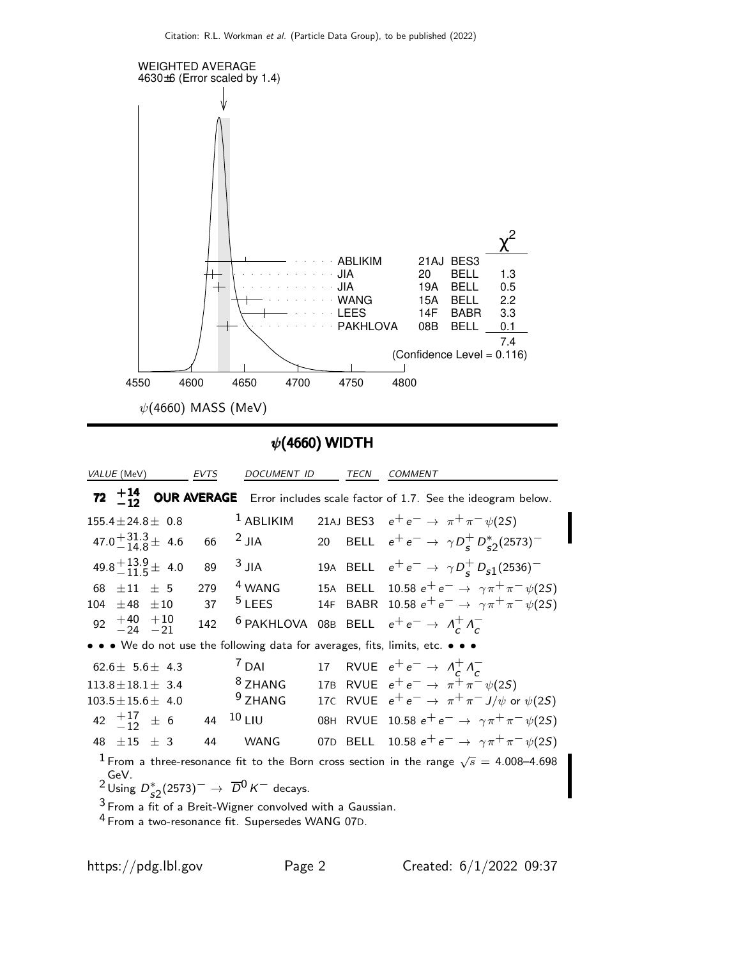

 $\psi$ (4660) WIDTH

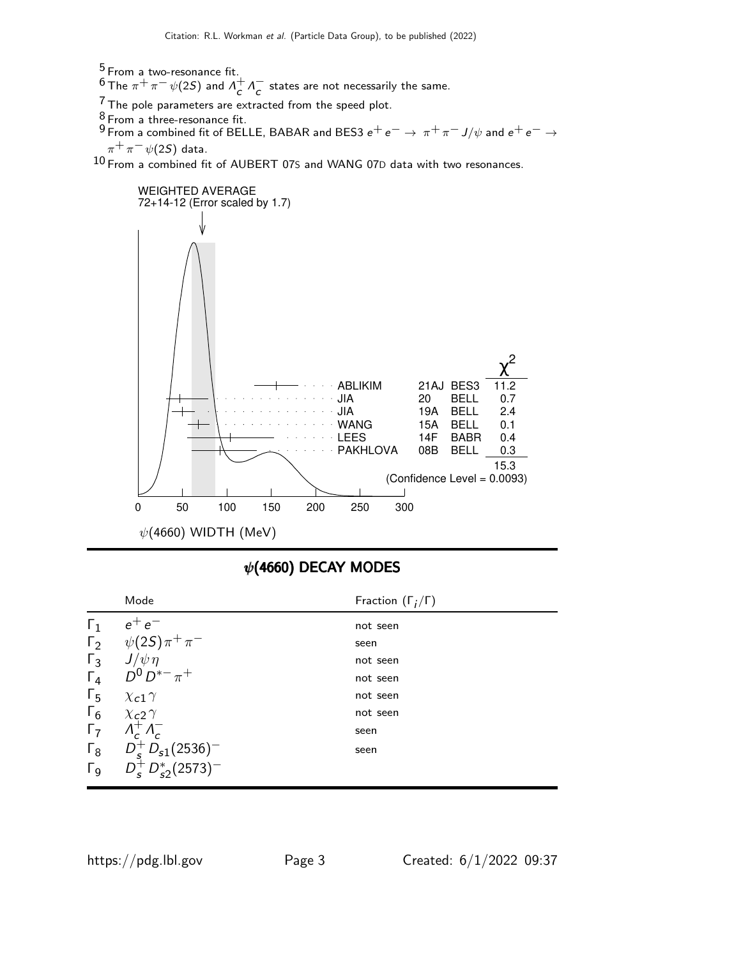$^5$  From a two-resonance fit.

 $^6$ The  $\pi^+\pi^-\,\psi(2S)$  and  $\varLambda_c^+\varLambda_c^-$  states are not necessarily the same.

 $7$  The pole parameters are extracted from the speed plot.

 $\frac{8}{9}$  From a three-resonance fit.

 $^9$  From a combined fit of BELLE, BABAR and BES3  $e^+ \, e^- \rightarrow \, \pi^+ \, \pi^- \, J/\psi$  and  $e^+ \, e^- \rightarrow \, \pi^ \pi^+ \pi^- \psi(2S)$  data.

10 From a combined fit of AUBERT 07S and WANG 07D data with two resonances.



## $\psi$ (4660) DECAY MODES

|                       | Mode                           | Fraction $(\Gamma_i/\Gamma)$ |
|-----------------------|--------------------------------|------------------------------|
| $\Gamma_1$            | $e^+e^-$                       | not seen                     |
| $\Gamma_2$            | $\psi(2S)\pi^{+}\pi^{-}$       | seen                         |
| $\Gamma_3$            | $J/\psi \eta$                  | not seen                     |
| $\Gamma_4$            | $D^{0} D^{*-} \pi^{+}$         | not seen                     |
| $\Gamma_5$            | $\chi$ <sub>c</sub> 1 $\gamma$ | not seen                     |
| $\Gamma_6$            | $\chi$ <sub>c</sub> 2 $\gamma$ | not seen                     |
| $\Gamma_7$            | $\Lambda_c^+ \Lambda_c^-$      | seen                         |
| $\Gamma_8$            | $D_s^+ D_{s1}(2536)^-$         | seen                         |
| $\Gamma$ <sub>9</sub> | $D_s^+ D_{s2}^*(2573)^-$       |                              |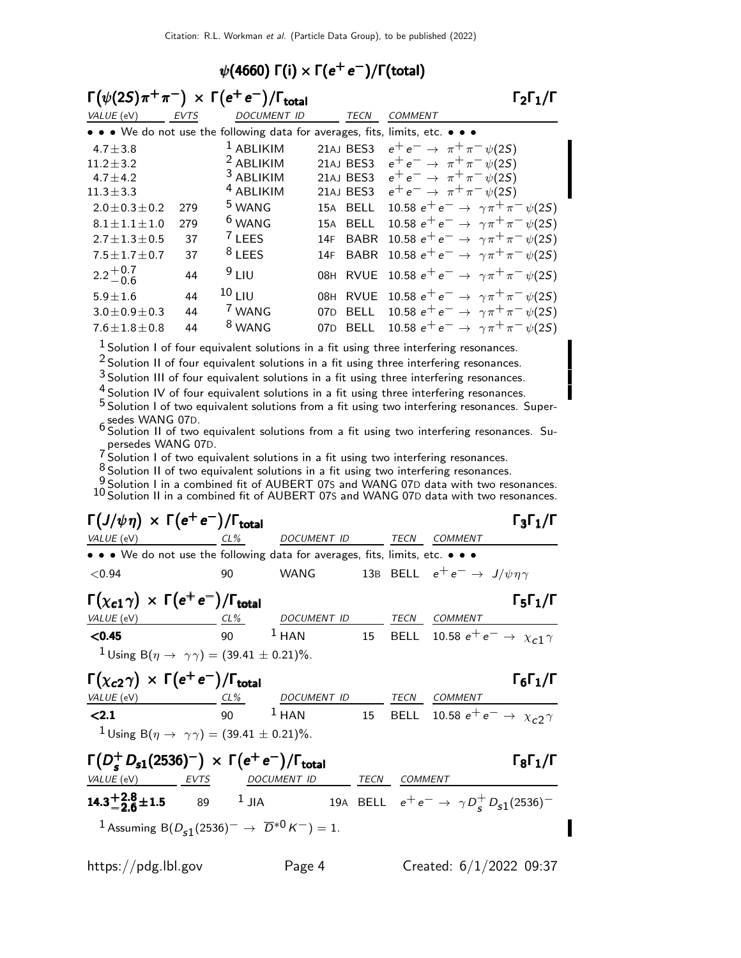## $\psi(4660)$   $\Gamma(i) \times \Gamma(e^+e^-)/\Gamma(\text{total})$

| $\Gamma(\psi(2S)\pi^+\pi^-) \times \Gamma(e^+e^-)/\Gamma_{\text{total}}$<br>$\Gamma_2\Gamma_1/\Gamma$ |             |                                                                               |                    |                                                        |  |
|-------------------------------------------------------------------------------------------------------|-------------|-------------------------------------------------------------------------------|--------------------|--------------------------------------------------------|--|
| VALUE (eV)                                                                                            | <b>EVTS</b> | <b>DOCUMENT ID</b>                                                            | TECN               | <b>COMMENT</b>                                         |  |
|                                                                                                       |             | • • • We do not use the following data for averages, fits, limits, etc. • • • |                    |                                                        |  |
| $4.7 \pm 3.8$                                                                                         |             | $1$ ABLIKIM                                                                   | 21AJ BES3          | $e^+e^- \to \pi^+\pi^-\psi(2S)$                        |  |
| $11.2 \pm 3.2$                                                                                        |             | <sup>2</sup> ABLIKIM                                                          | 21AJ BES3          | $e^+e^- \rightarrow \pi^+\pi^-\psi(2S)$                |  |
| $4.7 \pm 4.2$                                                                                         |             | <sup>3</sup> ABLIKIM                                                          | 21AJ BES3          | $e^+e^- \to \pi^+\pi^-\psi(2S)$                        |  |
| $11.3 \pm 3.3$                                                                                        |             | <sup>4</sup> ABLIKIM                                                          | 21AJ BES3          | $e^+e^- \to \pi^+\pi^-\psi(2S)$                        |  |
| $2.0 \pm 0.3 \pm 0.2$                                                                                 | 279         | <sup>5</sup> WANG                                                             | 15A BELL           | 10.58 $e^+e^- \rightarrow \gamma \pi^+ \pi^- \psi(2S)$ |  |
| $8.1 \pm 1.1 \pm 1.0$                                                                                 | 279         | <sup>6</sup> WANG                                                             | 15A BELL           | 10.58 $e^+e^- \rightarrow \gamma \pi^+ \pi^- \psi(2S)$ |  |
| $2.7 \pm 1.3 \pm 0.5$                                                                                 | 37          | $'$ LEES                                                                      | <b>BABR</b><br>14F | 10.58 $e^+e^- \rightarrow \gamma \pi^+ \pi^- \psi(2S)$ |  |
| $7.5 \pm 1.7 \pm 0.7$                                                                                 | 37          | $8$ LEES                                                                      | <b>BABR</b><br>14F | 10.58 $e^+e^- \to \gamma \pi^+ \pi^- \psi(2S)$         |  |
| $2.2 + 0.7 - 0.6$                                                                                     | 44          | 9LIU                                                                          | <b>RVUE</b><br>08H | 10.58 $e^+e^- \rightarrow \gamma \pi^+ \pi^- \psi(2S)$ |  |
| $5.9 \pm 1.6$                                                                                         | 44          | $10L$ LIU                                                                     | <b>RVUE</b><br>08H | 10.58 $e^+e^- \rightarrow \gamma \pi^+ \pi^- \psi(2S)$ |  |
| $3.0 \pm 0.9 \pm 0.3$                                                                                 | 44          | <sup>7</sup> WANG                                                             | BELL<br>07D        | 10.58 $e^+e^- \rightarrow \gamma \pi^+ \pi^- \psi(2S)$ |  |
| $7.6 \pm 1.8 \pm 0.8$                                                                                 | 44          | <sup>8</sup> WANG                                                             | <b>BELL</b><br>07D | 10.58 $e^+e^- \rightarrow \gamma \pi^+ \pi^- \psi(2S)$ |  |
|                                                                                                       |             |                                                                               |                    |                                                        |  |

 $<sup>1</sup>$  Solution I of four equivalent solutions in a fit using three interfering resonances.</sup>

2 Solution II of four equivalent solutions in a fit using three interfering resonances.

3 Solution III of four equivalent solutions in a fit using three interfering resonances.

<sup>4</sup> Solution IV of four equivalent solutions in a fit using three interfering resonances.

5 Solution I of two equivalent solutions from a fit using two interfering resonances. Supersedes WANG 07D. 6 Solution II of two equivalent solutions from a fit using two interfering resonances. Su-

persedes WANG 07D. 7 Solution I of two equivalent solutions in a fit using two interfering resonances.

8 Solution II of two equivalent solutions in a fit using two interfering resonances.

9 Solution I in a combined fit of AUBERT 07S and WANG 07D data with two resonances.<br><sup>10</sup> Solution II in a combined fit of AUBERT 07S and WANG 07D data with two resonances.

| $\Gamma(J/\psi \eta) \times \Gamma(e^+e^-)/\Gamma_{\text{total}}$                                           |             |                                                                         |                |                                                  | $\Gamma_3\Gamma_1/\Gamma$    |
|-------------------------------------------------------------------------------------------------------------|-------------|-------------------------------------------------------------------------|----------------|--------------------------------------------------|------------------------------|
| VALUE (eV)                                                                                                  |             | CL% DOCUMENT ID TECN COMMENT                                            |                |                                                  |                              |
| • • • We do not use the following data for averages, fits, limits, etc. • • •                               |             |                                                                         |                |                                                  |                              |
| < 0.94                                                                                                      | 90          | WANG                                                                    |                | 13B BELL $e^+e^- \rightarrow J/\psi \eta \gamma$ |                              |
| $\Gamma(\chi_{c1}\gamma) \times \Gamma(e^+e^-)/\Gamma_{\text{total}}$                                       |             |                                                                         |                |                                                  | $\Gamma_5\Gamma_1/\Gamma$    |
| VALUE (eV)                                                                                                  |             | CL <sup>%</sup> DOCUMENT ID TECN COMMENT                                |                |                                                  |                              |
| < 0.45                                                                                                      |             | 90 <sup>1</sup> HAN 15 BELL 10.58 $e^+e^- \rightarrow \chi_{c1} \gamma$ |                |                                                  |                              |
| <sup>1</sup> Using B( $\eta \to \gamma \gamma$ ) = (39.41 ± 0.21)%.                                         |             |                                                                         |                |                                                  |                              |
| $\Gamma(\chi_{c2}\gamma) \times \Gamma(e^+e^-)/\Gamma_{\text{total}}$                                       |             |                                                                         |                |                                                  | $\Gamma_6\Gamma_1/\Gamma$    |
| VALUE (eV)                                                                                                  |             | CL% DOCUMENT ID TECN COMMENT                                            |                |                                                  |                              |
| < 2.1                                                                                                       |             | 90 $1$ HAN 15 BELL 10.58 $e^+e^- \rightarrow \chi_{c2} \gamma$          |                |                                                  |                              |
| <sup>1</sup> Using B( $\eta \to \gamma \gamma$ ) = (39.41 ± 0.21)%.                                         |             |                                                                         |                |                                                  |                              |
| $\Gamma(D_e^+ D_{s1}(2536)^-) \times \Gamma(e^+ e^-)/\Gamma_{\text{total}}$<br>VALUE (eV)<br>EVTS           | DOCUMENT ID | <b>TECN</b>                                                             | <i>COMMENT</i> |                                                  | $\Gamma_8 \Gamma_1 / \Gamma$ |
| <b>14.3<sup>+2.8</sup>±1.5</b> 89 <sup>1</sup> JIA 19A BELL $e^+e^- \rightarrow \gamma D_s^+D_{s1}(2536)^-$ |             |                                                                         |                |                                                  |                              |
| <sup>1</sup> Assuming B( $D_{s1}(2536)^{-} \rightarrow \overline{D}^{*0}K^{-}$ ) = 1.                       |             |                                                                         |                |                                                  |                              |

Π